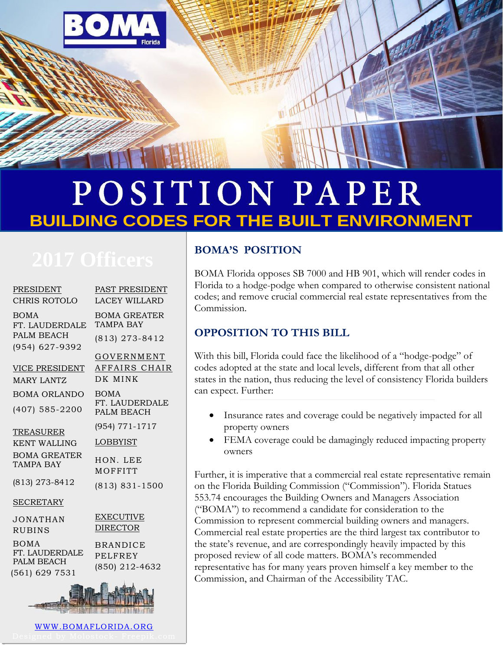

# POSITION PAPER **BUILDING CODES FOR THE BUILT ENVIRONMENT**

| <b>PRESIDENT</b><br><b>CHRIS ROTOLO</b>     | PAST PRESIDENT<br><b>LACEY WILLARD</b>              |
|---------------------------------------------|-----------------------------------------------------|
| <b>BOMA</b><br>FT. LAUDERDALE               | <b>BOMA GREATER</b><br><b>TAMPA BAY</b>             |
| PALM BEACH<br>(954) 627-9392                | (813) 273-8412                                      |
|                                             | GOVERNMENT                                          |
| VICE PRESIDENT                              | AFFAIRS CHAIR<br>DK MINK                            |
| <b>MARY LANTZ</b>                           |                                                     |
| <b>BOMA ORLANDO</b>                         | <b>BOMA</b>                                         |
| $(407)$ 585-2200                            | FT. LAUDERDALE<br>PALM BEACH                        |
| TREASURER                                   | (954) 771-1717                                      |
| <b>KENT WALLING</b>                         | <b>LOBBYIST</b>                                     |
| <b>BOMA GREATER</b><br><b>TAMPA BAY</b>     | HON. LEE<br>MOFFITT                                 |
| (813) 273-8412                              | $(813) 831 - 1500$                                  |
| <b>SECRETARY</b>                            |                                                     |
| <b>JONATHAN</b><br><b>RUBINS</b>            | <b>EXECUTIVE</b><br><b>DIRECTOR</b>                 |
| <b>BOMA</b><br>FT. LAUDERDALE<br>PALM BEACH | <b>BRANDICE</b><br><b>PELFREY</b><br>(850) 212-4632 |
| (561) 629 7531                              |                                                     |
|                                             |                                                     |
| WWW.BOMAFLORIDA.ORG                         |                                                     |

### **BOMA'S POSITION**

BOMA Florida opposes SB 7000 and HB 901, which will render codes in Florida to a hodge-podge when compared to otherwise consistent national codes; and remove crucial commercial real estate representatives from the Commission.

### **OPPOSITION TO THIS BILL**

With this bill, Florida could face the likelihood of a "hodge-podge" of codes adopted at the state and local levels, different from that all other states in the nation, thus reducing the level of consistency Florida builders can expect. Further:

- Insurance rates and coverage could be negatively impacted for all property owners
- FEMA coverage could be damagingly reduced impacting property owners

Further, it is imperative that a commercial real estate representative remain on the Florida Building Commission ("Commission"). Florida Statues 553.74 encourages the Building Owners and Managers Association ("BOMA") to recommend a candidate for consideration to the Commission to represent commercial building owners and managers. Commercial real estate properties are the third largest tax contributor to the state's revenue, and are correspondingly heavily impacted by this proposed review of all code matters. BOMA's recommended representative has for many years proven himself a key member to the Commission, and Chairman of the Accessibility TAC.